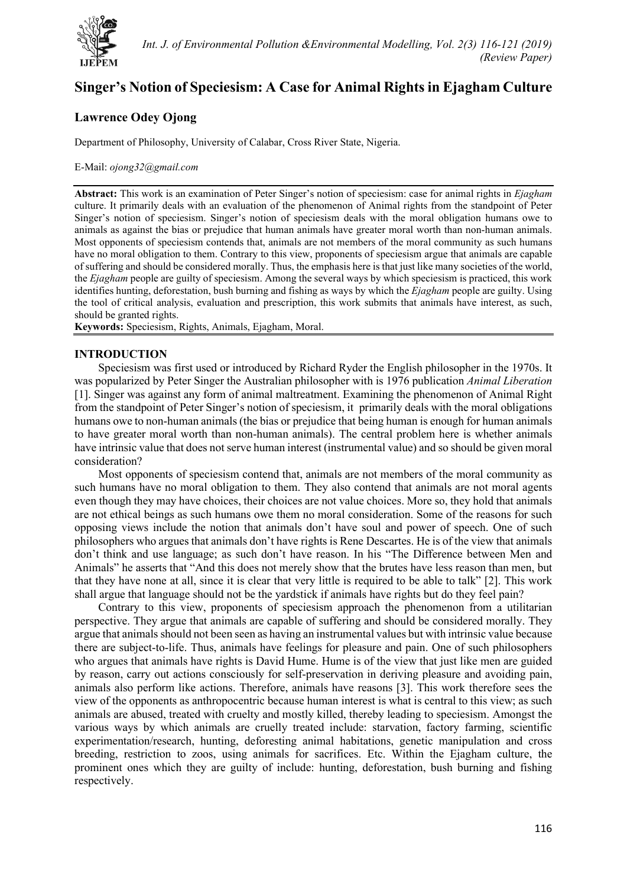

# **Singer's Notion of Speciesism: A Case for Animal Rightsin Ejagham Culture**

# **Lawrence Odey Ojong**

Department of Philosophy, University of Calabar, Cross River State, Nigeria.

#### E-Mail: *[ojong32@gmail.com](mailto:ojong32@gmail.com)*

**Abstract:** This work is an examination of Peter Singer's notion of speciesism: case for animal rights in *Ejagham* culture. It primarily deals with an evaluation of the phenomenon of Animal rights from the standpoint of Peter Singer's notion of speciesism. Singer's notion of speciesism deals with the moral obligation humans owe to animals as against the bias or prejudice that human animals have greater moral worth than non-human animals. Most opponents of speciesism contends that, animals are not members of the moral community as such humans have no moral obligation to them. Contrary to this view, proponents of speciesism argue that animals are capable of suffering and should be considered morally. Thus, the emphasis here is that just like many societies of the world, the *Ejagham* people are guilty of speciesism. Among the several ways by which speciesism is practiced, this work identifies hunting, deforestation, bush burning and fishing as ways by which the *Ejagham* people are guilty. Using the tool of critical analysis, evaluation and prescription, this work submits that animals have interest, as such, should be granted rights.

**Keywords:** Speciesism, Rights, Animals, Ejagham, Moral.

## **INTRODUCTION**

Speciesism was first used or introduced by Richard Ryder the English philosopher in the 1970s. It was popularized by Peter Singer the Australian philosopher with is 1976 publication *Animal Liberation* [1]. Singer was against any form of animal maltreatment. Examining the phenomenon of Animal Right from the standpoint of Peter Singer's notion of speciesism, it primarily deals with the moral obligations humans owe to non-human animals (the bias or prejudice that being human is enough for human animals to have greater moral worth than non-human animals). The central problem here is whether animals have intrinsic value that does not serve human interest (instrumental value) and so should be given moral consideration?

Most opponents of speciesism contend that, animals are not members of the moral community as such humans have no moral obligation to them. They also contend that animals are not moral agents even though they may have choices, their choices are not value choices. More so, they hold that animals are not ethical beings as such humans owe them no moral consideration. Some of the reasons for such opposing views include the notion that animals don't have soul and power of speech. One of such philosophers who argues that animals don't have rights is Rene Descartes. He is of the view that animals don't think and use language; as such don't have reason. In his "The Difference between Men and Animals" he asserts that "And this does not merely show that the brutes have less reason than men, but that they have none at all, since it is clear that very little is required to be able to talk" [2]. This work shall argue that language should not be the yardstick if animals have rights but do they feel pain?

Contrary to this view, proponents of speciesism approach the phenomenon from a utilitarian perspective. They argue that animals are capable of suffering and should be considered morally. They argue that animals should not been seen as having an instrumental values but with intrinsic value because there are subject-to-life. Thus, animals have feelings for pleasure and pain. One of such philosophers who argues that animals have rights is David Hume. Hume is of the view that just like men are guided by reason, carry out actions consciously for self-preservation in deriving pleasure and avoiding pain, animals also perform like actions. Therefore, animals have reasons [3]. This work therefore sees the view of the opponents as anthropocentric because human interest is what is central to this view; as such animals are abused, treated with cruelty and mostly killed, thereby leading to speciesism. Amongst the various ways by which animals are cruelly treated include: starvation, factory farming, scientific experimentation/research, hunting, deforesting animal habitations, genetic manipulation and cross breeding, restriction to zoos, using animals for sacrifices. Etc. Within the Ejagham culture, the prominent ones which they are guilty of include: hunting, deforestation, bush burning and fishing respectively.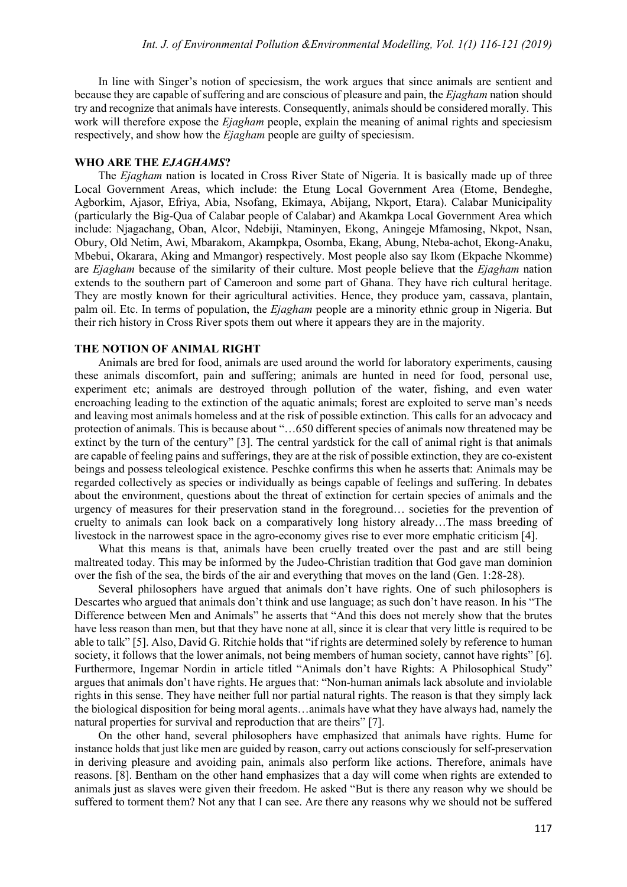In line with Singer's notion of speciesism, the work argues that since animals are sentient and because they are capable of suffering and are conscious of pleasure and pain, the *Ejagham* nation should try and recognize that animals have interests. Consequently, animals should be considered morally. This work will therefore expose the *Ejagham* people, explain the meaning of animal rights and speciesism respectively, and show how the *Ejagham* people are guilty of speciesism.

#### **WHO ARE THE** *EJAGHAMS***?**

The *Ejagham* nation is located in Cross River State of Nigeria. It is basically made up of three Local Government Areas, which include: the Etung Local Government Area (Etome, Bendeghe, Agborkim, Ajasor, Efriya, Abia, Nsofang, Ekimaya, Abijang, Nkport, Etara). Calabar Municipality (particularly the Big-Qua of Calabar people of Calabar) and Akamkpa Local Government Area which include: Njagachang, Oban, Alcor, Ndebiji, Ntaminyen, Ekong, Aningeje Mfamosing, Nkpot, Nsan, Obury, Old Netim, Awi, Mbarakom, Akampkpa, Osomba, Ekang, Abung, Nteba-achot, Ekong-Anaku, Mbebui, Okarara, Aking and Mmangor) respectively. Most people also say Ikom (Ekpache Nkomme) are *Ejagham* because of the similarity of their culture. Most people believe that the *Ejagham* nation extends to the southern part of Cameroon and some part of Ghana. They have rich cultural heritage. They are mostly known for their agricultural activities. Hence, they produce yam, cassava, plantain, palm oil. Etc. In terms of population, the *Ejagham* people are a minority ethnic group in Nigeria. But their rich history in Cross River spots them out where it appears they are in the majority.

#### **THE NOTION OF ANIMAL RIGHT**

Animals are bred for food, animals are used around the world for laboratory experiments, causing these animals discomfort, pain and suffering; animals are hunted in need for food, personal use, experiment etc; animals are destroyed through pollution of the water, fishing, and even water encroaching leading to the extinction of the aquatic animals; forest are exploited to serve man's needs and leaving most animals homeless and at the risk of possible extinction. This calls for an advocacy and protection of animals. This is because about "…650 different species of animals now threatened may be extinct by the turn of the century" [3]. The central yardstick for the call of animal right is that animals are capable of feeling pains and sufferings, they are at the risk of possible extinction, they are co-existent beings and possess teleological existence. Peschke confirms this when he asserts that: Animals may be regarded collectively as species or individually as beings capable of feelings and suffering. In debates about the environment, questions about the threat of extinction for certain species of animals and the urgency of measures for their preservation stand in the foreground… societies for the prevention of cruelty to animals can look back on a comparatively long history already…The mass breeding of livestock in the narrowest space in the agro-economy gives rise to ever more emphatic criticism [4].

What this means is that, animals have been cruelly treated over the past and are still being maltreated today. This may be informed by the Judeo-Christian tradition that God gave man dominion over the fish of the sea, the birds of the air and everything that moves on the land (Gen. 1:28-28).

Several philosophers have argued that animals don't have rights. One of such philosophers is Descartes who argued that animals don't think and use language; as such don't have reason. In his "The Difference between Men and Animals" he asserts that "And this does not merely show that the brutes have less reason than men, but that they have none at all, since it is clear that very little is required to be able to talk" [5]. Also, David G. Ritchie holds that "if rights are determined solely by reference to human society, it follows that the lower animals, not being members of human society, cannot have rights" [6]. Furthermore, Ingemar Nordin in article titled "Animals don't have Rights: A Philosophical Study" argues that animals don't have rights. He argues that: "Non-human animals lack absolute and inviolable rights in this sense. They have neither full nor partial natural rights. The reason is that they simply lack the biological disposition for being moral agents…animals have what they have always had, namely the natural properties for survival and reproduction that are theirs" [7].

On the other hand, several philosophers have emphasized that animals have rights. Hume for instance holds that just like men are guided by reason, carry out actions consciously for self-preservation in deriving pleasure and avoiding pain, animals also perform like actions. Therefore, animals have reasons. [8]. Bentham on the other hand emphasizes that a day will come when rights are extended to animals just as slaves were given their freedom. He asked "But is there any reason why we should be suffered to torment them? Not any that I can see. Are there any reasons why we should not be suffered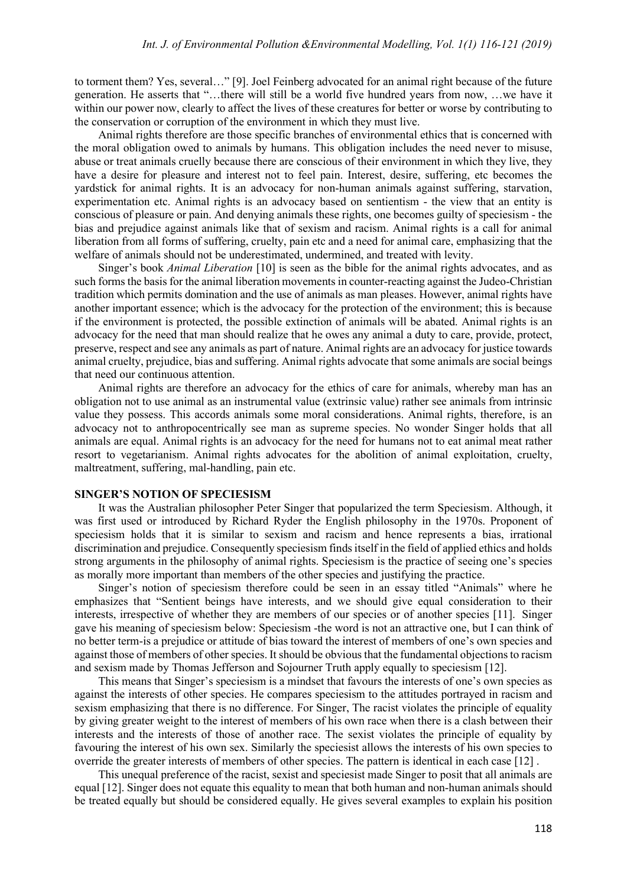to torment them? Yes, several…" [9]. Joel Feinberg advocated for an animal right because of the future generation. He asserts that "…there will still be a world five hundred years from now, …we have it within our power now, clearly to affect the lives of these creatures for better or worse by contributing to the conservation or corruption of the environment in which they must live.

Animal rights therefore are those specific branches of environmental ethics that is concerned with the moral obligation owed to animals by humans. This obligation includes the need never to misuse, abuse or treat animals cruelly because there are conscious of their environment in which they live, they have a desire for pleasure and interest not to feel pain. Interest, desire, suffering, etc becomes the yardstick for animal rights. It is an advocacy for non-human animals against suffering, starvation, experimentation etc. Animal rights is an advocacy based on sentientism - the view that an entity is conscious of pleasure or pain. And denying animals these rights, one becomes guilty of speciesism - the bias and prejudice against animals like that of sexism and racism. Animal rights is a call for animal liberation from all forms of suffering, cruelty, pain etc and a need for animal care, emphasizing that the welfare of animals should not be underestimated, undermined, and treated with levity.

Singer's book *Animal Liberation* [10] is seen as the bible for the animal rights advocates, and as such forms the basis for the animal liberation movements in counter-reacting against the Judeo-Christian tradition which permits domination and the use of animals as man pleases. However, animal rights have another important essence; which is the advocacy for the protection of the environment; this is because if the environment is protected, the possible extinction of animals will be abated. Animal rights is an advocacy for the need that man should realize that he owes any animal a duty to care, provide, protect, preserve, respect and see any animals as part of nature. Animal rights are an advocacy for justice towards animal cruelty, prejudice, bias and suffering. Animal rights advocate that some animals are social beings that need our continuous attention.

Animal rights are therefore an advocacy for the ethics of care for animals, whereby man has an obligation not to use animal as an instrumental value (extrinsic value) rather see animals from intrinsic value they possess. This accords animals some moral considerations. Animal rights, therefore, is an advocacy not to anthropocentrically see man as supreme species. No wonder Singer holds that all animals are equal. Animal rights is an advocacy for the need for humans not to eat animal meat rather resort to vegetarianism. Animal rights advocates for the abolition of animal exploitation, cruelty, maltreatment, suffering, mal-handling, pain etc.

## **SINGER'S NOTION OF SPECIESISM**

It was the Australian philosopher Peter Singer that popularized the term Speciesism. Although, it was first used or introduced by Richard Ryder the English philosophy in the 1970s. Proponent of speciesism holds that it is similar to sexism and racism and hence represents a bias, irrational discrimination and prejudice. Consequently speciesism finds itself in the field of applied ethics and holds strong arguments in the philosophy of animal rights. Speciesism is the practice of seeing one's species as morally more important than members of the other species and justifying the practice.

Singer's notion of speciesism therefore could be seen in an essay titled "Animals" where he emphasizes that "Sentient beings have interests, and we should give equal consideration to their interests, irrespective of whether they are members of our species or of another species [11]. Singer gave his meaning of speciesism below: Speciesism -the word is not an attractive one, but I can think of no better term-is a prejudice or attitude of bias toward the interest of members of one's own species and against those of members of other species. It should be obvious that the fundamental objections to racism and sexism made by Thomas Jefferson and Sojourner Truth apply equally to speciesism [12].

This means that Singer's speciesism is a mindset that favours the interests of one's own species as against the interests of other species. He compares speciesism to the attitudes portrayed in racism and sexism emphasizing that there is no difference. For Singer, The racist violates the principle of equality by giving greater weight to the interest of members of his own race when there is a clash between their interests and the interests of those of another race. The sexist violates the principle of equality by favouring the interest of his own sex. Similarly the speciesist allows the interests of his own species to override the greater interests of members of other species. The pattern is identical in each case [12] .

This unequal preference of the racist, sexist and speciesist made Singer to posit that all animals are equal [12]. Singer does not equate this equality to mean that both human and non-human animals should be treated equally but should be considered equally. He gives several examples to explain his position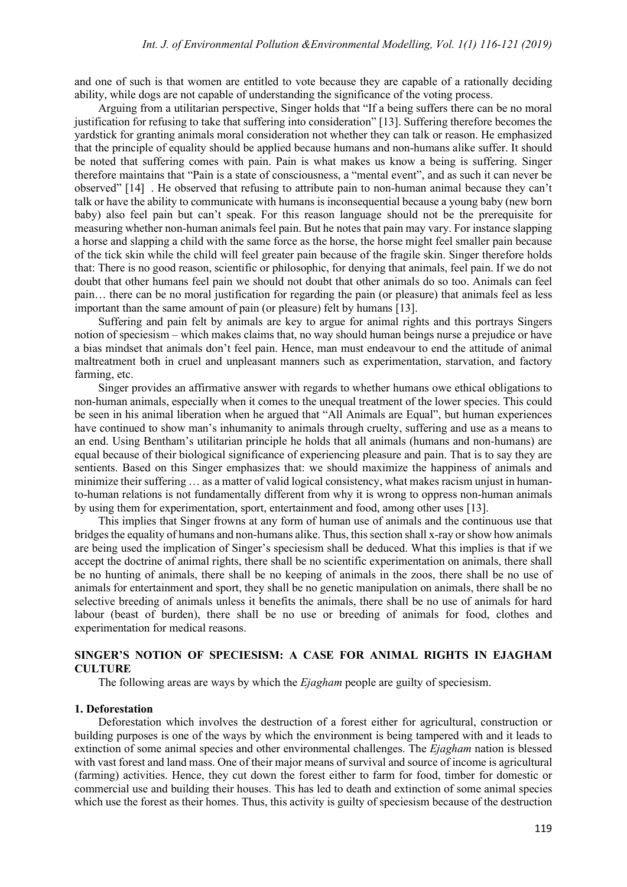and one of such is that women are entitled to vote because they are capable of a rationally deciding ability, while dogs are not capable of understanding the significance of the voting process.

Arguing from a utilitarian perspective, Singer holds that "If a being suffers there can be no moral justification for refusing to take that suffering into consideration" [13]. Suffering therefore becomes the yardstick for granting animals moral consideration not whether they can talk or reason. He emphasized that the principle of equality should be applied because humans and non-humans alike suffer. It should be noted that suffering comes with pain. Pain is what makes us know a being is suffering. Singer therefore maintains that "Pain is a state of consciousness, a "mental event", and as such it can never be observed" [14] . He observed that refusing to attribute pain to non-human animal because they can't talk or have the ability to communicate with humans is inconsequential because a young baby (new born baby) also feel pain but can't speak. For this reason language should not be the prerequisite for measuring whether non-human animals feel pain. But he notes that pain may vary. For instance slapping a horse and slapping a child with the same force as the horse, the horse might feel smaller pain because of the tick skin while the child will feel greater pain because of the fragile skin. Singer therefore holds that: There is no good reason, scientific or philosophic, for denying that animals, feel pain. If we do not doubt that other humans feel pain we should not doubt that other animals do so too. Animals can feel pain… there can be no moral justification for regarding the pain (or pleasure) that animals feel as less important than the same amount of pain (or pleasure) felt by humans [13].

Suffering and pain felt by animals are key to argue for animal rights and this portrays Singers notion of speciesism – which makes claims that, no way should human beings nurse a prejudice or have a bias mindset that animals don't feel pain. Hence, man must endeavour to end the attitude of animal maltreatment both in cruel and unpleasant manners such as experimentation, starvation, and factory farming, etc.

Singer provides an affirmative answer with regards to whether humans owe ethical obligations to non-human animals, especially when it comes to the unequal treatment of the lower species. This could be seen in his animal liberation when he argued that "All Animals are Equal", but human experiences have continued to show man's inhumanity to animals through cruelty, suffering and use as a means to an end. Using Bentham's utilitarian principle he holds that all animals (humans and non-humans) are equal because of their biological significance of experiencing pleasure and pain. That is to say they are sentients. Based on this Singer emphasizes that: we should maximize the happiness of animals and minimize their suffering … as a matter of valid logical consistency, what makes racism unjust in humanto-human relations is not fundamentally different from why it is wrong to oppress non-human animals by using them for experimentation, sport, entertainment and food, among other uses [13].

This implies that Singer frowns at any form of human use of animals and the continuous use that bridges the equality of humans and non-humans alike. Thus, this section shall x-ray or show how animals are being used the implication of Singer's speciesism shall be deduced. What this implies is that if we accept the doctrine of animal rights, there shall be no scientific experimentation on animals, there shall be no hunting of animals, there shall be no keeping of animals in the zoos, there shall be no use of animals for entertainment and sport, they shall be no genetic manipulation on animals, there shall be no selective breeding of animals unless it benefits the animals, there shall be no use of animals for hard labour (beast of burden), there shall be no use or breeding of animals for food, clothes and experimentation for medical reasons.

## **SINGER'S NOTION OF SPECIESISM: A CASE FOR ANIMAL RIGHTS IN EJAGHAM CULTURE**

The following areas are ways by which the *Ejagham* people are guilty of speciesism.

#### **1. Deforestation**

Deforestation which involves the destruction of a forest either for agricultural, construction or building purposes is one of the ways by which the environment is being tampered with and it leads to extinction of some animal species and other environmental challenges. The *Ejagham* nation is blessed with vast forest and land mass. One of their major means of survival and source of income is agricultural (farming) activities. Hence, they cut down the forest either to farm for food, timber for domestic or commercial use and building their houses. This has led to death and extinction of some animal species which use the forest as their homes. Thus, this activity is guilty of speciesism because of the destruction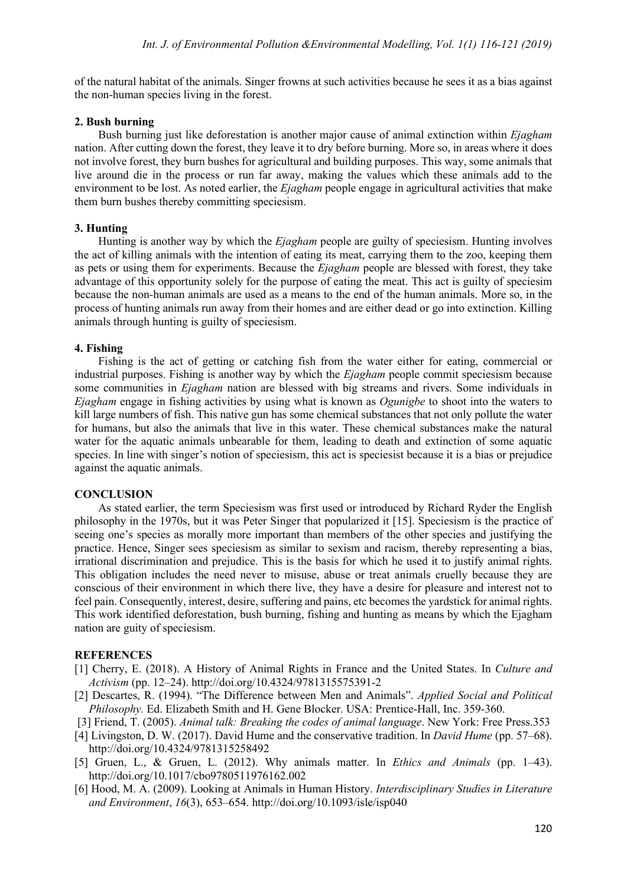of the natural habitat of the animals. Singer frowns at such activities because he sees it as a bias against the non-human species living in the forest.

# **2. Bush burning**

Bush burning just like deforestation is another major cause of animal extinction within *Ejagham* nation. After cutting down the forest, they leave it to dry before burning. More so, in areas where it does not involve forest, they burn bushes for agricultural and building purposes. This way, some animals that live around die in the process or run far away, making the values which these animals add to the environment to be lost. As noted earlier, the *Ejagham* people engage in agricultural activities that make them burn bushes thereby committing speciesism.

# **3. Hunting**

Hunting is another way by which the *Ejagham* people are guilty of speciesism. Hunting involves the act of killing animals with the intention of eating its meat, carrying them to the zoo, keeping them as pets or using them for experiments. Because the *Ejagham* people are blessed with forest, they take advantage of this opportunity solely for the purpose of eating the meat. This act is guilty of speciesim because the non-human animals are used as a means to the end of the human animals. More so, in the process of hunting animals run away from their homes and are either dead or go into extinction. Killing animals through hunting is guilty of speciesism.

# **4. Fishing**

Fishing is the act of getting or catching fish from the water either for eating, commercial or industrial purposes. Fishing is another way by which the *Ejagham* people commit speciesism because some communities in *Ejagham* nation are blessed with big streams and rivers. Some individuals in *Ejagham* engage in fishing activities by using what is known as *Ogunigbe* to shoot into the waters to kill large numbers of fish. This native gun has some chemical substances that not only pollute the water for humans, but also the animals that live in this water. These chemical substances make the natural water for the aquatic animals unbearable for them, leading to death and extinction of some aquatic species. In line with singer's notion of speciesism, this act is speciesist because it is a bias or prejudice against the aquatic animals.

# **CONCLUSION**

As stated earlier, the term Speciesism was first used or introduced by Richard Ryder the English philosophy in the 1970s, but it was Peter Singer that popularized it [15]. Speciesism is the practice of seeing one's species as morally more important than members of the other species and justifying the practice. Hence, Singer sees speciesism as similar to sexism and racism, thereby representing a bias, irrational discrimination and prejudice. This is the basis for which he used it to justify animal rights. This obligation includes the need never to misuse, abuse or treat animals cruelly because they are conscious of their environment in which there live, they have a desire for pleasure and interest not to feel pain. Consequently, interest, desire, suffering and pains, etc becomes the yardstick for animal rights. This work identified deforestation, bush burning, fishing and hunting as means by which the Ejagham nation are guity of speciesism.

## **REFERENCES**

- [1] Cherry, E. (2018). A History of Animal Rights in France and the United States. In *Culture and Activism* (pp. 12–24). http://doi.org/10.4324/9781315575391-2
- [2] Descartes, R. (1994). "The Difference between Men and Animals". *Applied Social and Political Philosophy.* Ed. Elizabeth Smith and H. Gene Blocker. USA: Prentice-Hall, Inc. 359-360.
- [3] Friend, T. (2005). *Animal talk: Breaking the codes of animal language*. New York: Free Press.353
- [4] Livingston, D. W. (2017). David Hume and the conservative tradition. In *David Hume* (pp. 57–68). http://doi.org/10.4324/9781315258492
- [5] Gruen, L., & Gruen, L. (2012). Why animals matter. In *Ethics and Animals* (pp. 1–43). <http://doi.org/10.1017/cbo9780511976162.002>
- [6] Hood, M. A. (2009). Looking at Animals in Human History. *Interdisciplinary Studies in Literature and Environment*, *16*(3), 653–654. http://doi.org/10.1093/isle/isp040